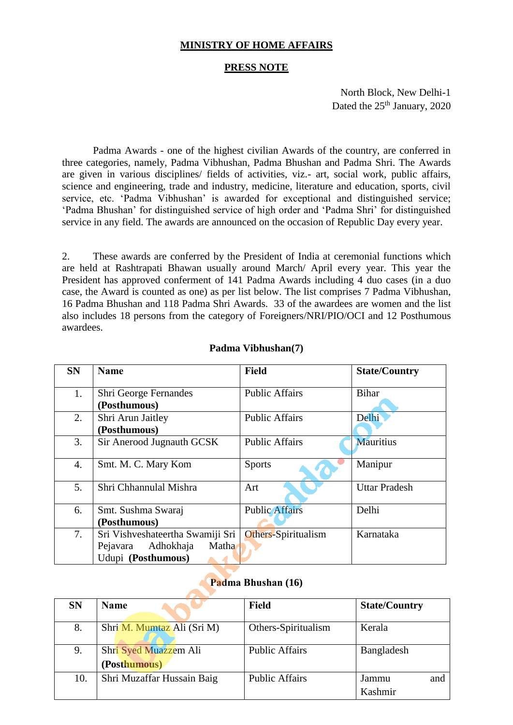## **Padma Vibhushan(7)**

| <b>SN</b> | <b>Name</b>                      | <b>Field</b>          | <b>State/Country</b> |
|-----------|----------------------------------|-----------------------|----------------------|
| 1.        | Shri George Fernandes            | <b>Public Affairs</b> | <b>Bihar</b>         |
|           | (Posthumous)                     |                       |                      |
| 2.        | Shri Arun Jaitley                | <b>Public Affairs</b> | Delhi                |
|           | (Posthumous)                     |                       |                      |
| 3.        | Sir Anerood Jugnauth GCSK        | <b>Public Affairs</b> | <b>Mauritius</b>     |
| 4.        | Smt. M. C. Mary Kom              | <b>Sports</b>         | Manipur              |
| 5.        | Shri Chhannulal Mishra           | Art                   | <b>Uttar Pradesh</b> |
| 6.        | Smt. Sushma Swaraj               | <b>Public Affairs</b> | Delhi                |
|           | (Posthumous)                     |                       |                      |
| 7.        | Sri Vishveshateertha Swamiji Sri | Others-Spiritualism   | Karnataka            |
|           | Matha<br>Adhokhaja<br>Pejavara   |                       |                      |
|           | Udupi (Posthumous)               |                       |                      |

## **Padma Bhushan (16)**

**AND** 

| <b>SN</b> | <b>Name</b>                           | <b>Field</b>          | <b>State/Country</b>    |
|-----------|---------------------------------------|-----------------------|-------------------------|
| 8.        | Shri M. Mumtaz Ali (Sri M)            | Others-Spiritualism   | Kerala                  |
| 9.        | Shri Syed Muazzem Ali<br>(Posthumous) | <b>Public Affairs</b> | Bangladesh              |
| 10.       | Shri Muzaffar Hussain Baig            | <b>Public Affairs</b> | Jammu<br>and<br>Kashmir |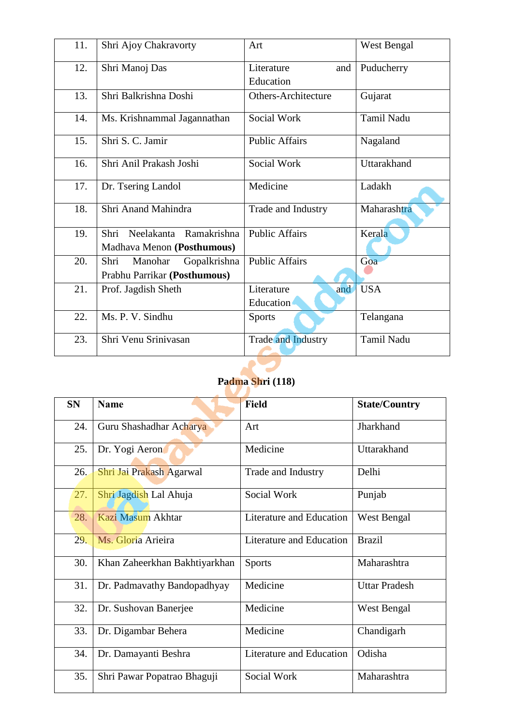| 11. | Shri Ajoy Chakravorty           | Art                        | <b>West Bengal</b> |
|-----|---------------------------------|----------------------------|--------------------|
| 12. | Shri Manoj Das                  | Literature<br>and          | Puducherry         |
|     |                                 | Education                  |                    |
| 13. | Shri Balkrishna Doshi           | <b>Others-Architecture</b> | Gujarat            |
| 14. | Ms. Krishnammal Jagannathan     | Social Work                | <b>Tamil Nadu</b>  |
| 15. | Shri S. C. Jamir                | <b>Public Affairs</b>      | Nagaland           |
| 16. | Shri Anil Prakash Joshi         | Social Work                | Uttarakhand        |
| 17. | Dr. Tsering Landol              | Medicine                   | Ladakh             |
| 18. | Shri Anand Mahindra             | Trade and Industry         | Maharashtra        |
| 19. | Neelakanta Ramakrishna<br>Shri  | <b>Public Affairs</b>      | Kerala             |
|     | Madhava Menon (Posthumous)      |                            |                    |
| 20. | Shri<br>Manohar<br>Gopalkrishna | <b>Public Affairs</b>      | Goa                |
|     | Prabhu Parrikar (Posthumous)    |                            |                    |
| 21. | Prof. Jagdish Sheth             | Literature<br>and          | <b>USA</b>         |
|     |                                 | Education                  |                    |
| 22. | Ms. P. V. Sindhu                | <b>Sports</b>              | Telangana          |
| 23. | Shri Venu Srinivasan            | <b>Trade and Industry</b>  | Tamil Nadu         |
|     |                                 |                            |                    |

## **Padma Shri (118)**

| <b>SN</b> | <b>Name</b>                   | <b>Field</b>             | <b>State/Country</b> |
|-----------|-------------------------------|--------------------------|----------------------|
| 24.       | Guru Shashadhar Acharya       | Art                      | Jharkhand            |
| 25.       | Dr. Yogi Aeron                | Medicine                 | Uttarakhand          |
| 26.       | Shri Jai Prakash Agarwal      | Trade and Industry       | Delhi                |
| 27.       | Shri Jagdish Lal Ahuja        | Social Work              | Punjab               |
| 28.       | Kazi Masum Akhtar             | Literature and Education | West Bengal          |
| 29.       | Ms. Gloria Arieira            | Literature and Education | <b>Brazil</b>        |
| 30.       | Khan Zaheerkhan Bakhtiyarkhan | <b>Sports</b>            | Maharashtra          |
| 31.       | Dr. Padmavathy Bandopadhyay   | Medicine                 | <b>Uttar Pradesh</b> |
| 32.       | Dr. Sushovan Banerjee         | Medicine                 | West Bengal          |
| 33.       | Dr. Digambar Behera           | Medicine                 | Chandigarh           |
| 34.       | Dr. Damayanti Beshra          | Literature and Education | Odisha               |
| 35.       | Shri Pawar Popatrao Bhaguji   | Social Work              | Maharashtra          |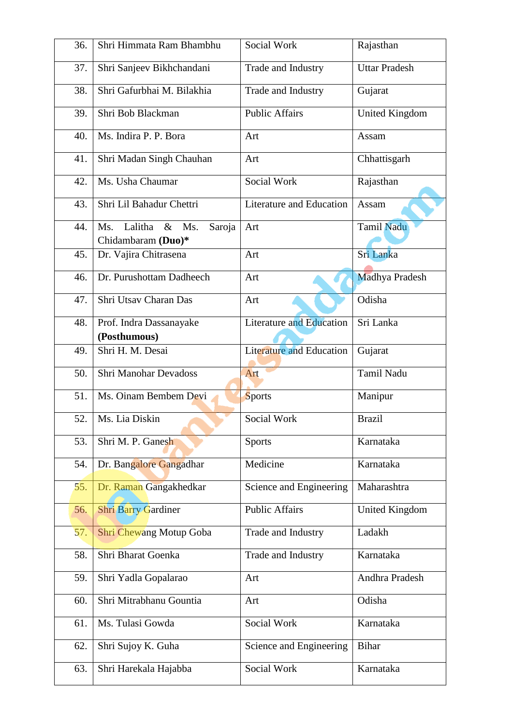| 36. | Shri Himmata Ram Bhambhu                                | Social Work                     | Rajasthan             |
|-----|---------------------------------------------------------|---------------------------------|-----------------------|
| 37. | Shri Sanjeev Bikhchandani                               | Trade and Industry              | <b>Uttar Pradesh</b>  |
| 38. | Shri Gafurbhai M. Bilakhia                              | Trade and Industry              | Gujarat               |
| 39. | Shri Bob Blackman                                       | <b>Public Affairs</b>           | <b>United Kingdom</b> |
| 40. | Ms. Indira P. P. Bora                                   | Art                             | Assam                 |
| 41. | Shri Madan Singh Chauhan                                | Art                             | Chhattisgarh          |
| 42. | Ms. Usha Chaumar                                        | Social Work                     | Rajasthan             |
| 43. | Shri Lil Bahadur Chettri                                | Literature and Education        | Assam                 |
| 44. | Lalitha &<br>Ms.<br>Ms.<br>Saroja<br>Chidambaram (Duo)* | Art                             | Tamil Nadu            |
| 45. | Dr. Vajira Chitrasena                                   | Art                             | Sri Lanka             |
| 46. | Dr. Purushottam Dadheech                                | Art                             | Madhya Pradesh        |
| 47. | Shri Utsav Charan Das                                   | Art                             | Odisha                |
| 48. | Prof. Indra Dassanayake<br>(Posthumous)                 | <b>Literature and Education</b> | Sri Lanka             |
| 49. | Shri H. M. Desai                                        | <b>Literature and Education</b> | Gujarat               |
| 50. | <b>Shri Manohar Devadoss</b>                            | Art                             | <b>Tamil Nadu</b>     |
|     |                                                         |                                 |                       |
| 51. | Ms. Oinam Bembem Devi                                   | <b>Sports</b>                   | Manipur               |
| 52. | Ms. Lia Diskin                                          | Social Work                     | <b>Brazil</b>         |
| 53. | Shri M. P. Ganesh                                       | <b>Sports</b>                   | Karnataka             |
| 54. | Dr. Bangalore Gangadhar                                 | Medicine                        | Karnataka             |
| 55. | Dr. Raman Gangakhedkar                                  | Science and Engineering         | Maharashtra           |
| 56. | <b>Shri Barry Gardiner</b>                              | <b>Public Affairs</b>           | <b>United Kingdom</b> |
| 57. | <b>Shri Chewang Motup Goba</b>                          | Trade and Industry              | Ladakh                |
| 58. | Shri Bharat Goenka                                      | Trade and Industry              | Karnataka             |
| 59. | Shri Yadla Gopalarao                                    | Art                             | Andhra Pradesh        |
| 60. | Shri Mitrabhanu Gountia                                 | Art                             | Odisha                |
| 61. | Ms. Tulasi Gowda                                        | Social Work                     | Karnataka             |
| 62. | Shri Sujoy K. Guha                                      | Science and Engineering         | <b>Bihar</b>          |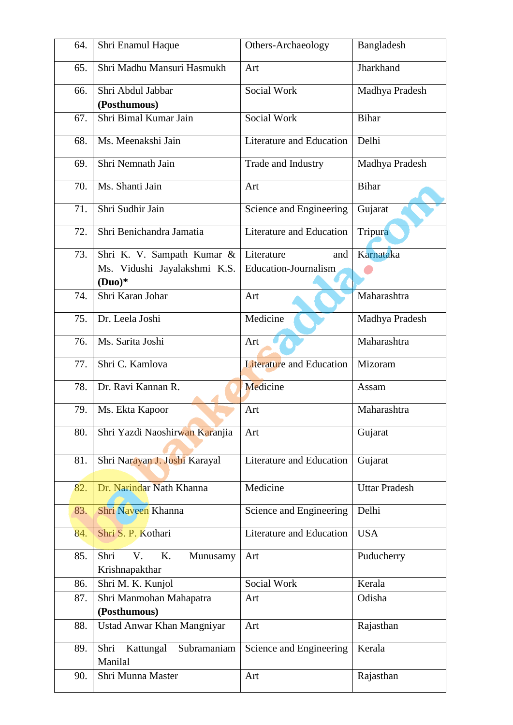| 64. | Shri Enamul Haque                              | Others-Archaeology                               | Bangladesh           |
|-----|------------------------------------------------|--------------------------------------------------|----------------------|
| 65. | Shri Madhu Mansuri Hasmukh                     | Art                                              | Jharkhand            |
| 66. | Shri Abdul Jabbar<br>(Posthumous)              | <b>Social Work</b>                               | Madhya Pradesh       |
| 67. | Shri Bimal Kumar Jain                          | Social Work                                      | Bihar                |
| 68. | Ms. Meenakshi Jain                             | Literature and Education                         | Delhi                |
| 69. | Shri Nemnath Jain                              | Trade and Industry                               | Madhya Pradesh       |
| 70. | Ms. Shanti Jain                                | Art                                              | Bihar                |
| 71. | Shri Sudhir Jain                               | Science and Engineering                          | Gujarat              |
| 72. | Shri Benichandra Jamatia                       | Literature and Education                         | Tripura              |
| 73. | Shri K. V. Sampath Kumar &                     | Literature<br>and<br><b>Education-Journalism</b> | Karnataka            |
|     | Ms. Vidushi Jayalakshmi K.S.<br>$(Duo)*$       |                                                  |                      |
| 74. | Shri Karan Johar                               | Art                                              | Maharashtra          |
| 75. | Dr. Leela Joshi                                | Medicine                                         | Madhya Pradesh       |
| 76. | Ms. Sarita Joshi                               | Art                                              | Maharashtra          |
| 77. | Shri C. Kamlova                                | <b>Literature and Education</b>                  | Mizoram              |
| 78. | Dr. Ravi Kannan R.                             | Medicine                                         | Assam                |
| 79. | Ms. Ekta Kapoor                                | Art                                              | Maharashtra          |
| 80. | Shri Yazdi Naoshirwan Karanjia                 | Art                                              | Gujarat              |
| 81. | Shri Narayan J. Joshi Karayal                  | Literature and Education                         | Gujarat              |
| 82. | Dr. Narindar Nath Khanna                       | Medicine                                         | <b>Uttar Pradesh</b> |
| 83. | Shri Naveen Khanna                             | Science and Engineering                          | Delhi                |
| 84. | Shri S. P. Kothari                             | <b>Literature and Education</b>                  | <b>USA</b>           |
| 85. | Shri<br>V.<br>K.<br>Munusamy<br>Krishnapakthar | Art                                              | Puducherry           |
| 86. | Shri M. K. Kunjol                              | Social Work                                      | Kerala               |
| 87. | Shri Manmohan Mahapatra<br>(Posthumous)        | Art                                              | Odisha               |
| 88. | Ustad Anwar Khan Mangniyar                     | Art                                              | Rajasthan            |
| 89. | Shri<br>Kattungal<br>Subramaniam<br>Manilal    | Science and Engineering                          | Kerala               |
| 90. | Shri Munna Master                              | Art                                              | Rajasthan            |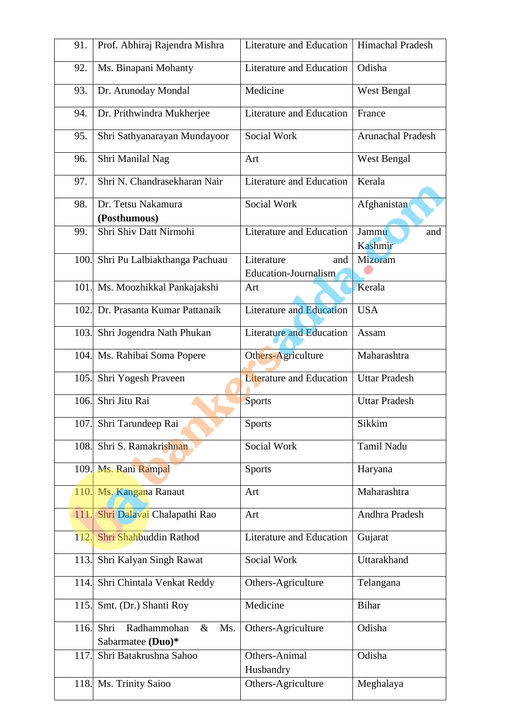| 91.  | Prof. Abhiraj Rajendra Mishra                           | Literature and Education                  | Himachal Pradesh        |
|------|---------------------------------------------------------|-------------------------------------------|-------------------------|
| 92.  | Ms. Binapani Mohanty                                    | Literature and Education                  | Odisha                  |
| 93.  | Dr. Arunoday Mondal                                     | Medicine                                  | West Bengal             |
| 94.  | Dr. Prithwindra Mukherjee                               | <b>Literature and Education</b>           | France                  |
| 95.  | Shri Sathyanarayan Mundayoor                            | Social Work                               | Arunachal Pradesh       |
| 96.  | Shri Manilal Nag                                        | Art                                       | West Bengal             |
| 97.  | Shri N. Chandrasekharan Nair                            | Literature and Education                  | Kerala                  |
| 98.  | Dr. Tetsu Nakamura<br>(Posthumous)                      | Social Work                               | Afghanistan             |
| 99.  | Shri Shiv Datt Nirmohi                                  | Literature and Education                  | Jammu<br>and<br>Kashmir |
| 100. | Shri Pu Lalbiakthanga Pachuau                           | Literature<br>and<br>Education-Journalism | Mizoram                 |
| 101. | Ms. Moozhikkal Pankajakshi                              | Art                                       | Kerala                  |
| 102. | Dr. Prasanta Kumar Pattanaik                            | <b>Literature and Education</b>           | <b>USA</b>              |
| 103. | Shri Jogendra Nath Phukan                               | <b>Literature and Education</b>           | Assam                   |
|      | 104. Ms. Rahibai Soma Popere                            | Others-Agriculture                        | Maharashtra             |
| 105. | Shri Yogesh Praveen                                     | <b>Literature and Education</b>           | <b>Uttar Pradesh</b>    |
| 106. | Shri Jitu Rai                                           | <b>Sports</b>                             | <b>Uttar Pradesh</b>    |
|      | 107. Shri Tarundeep Rai                                 | <b>Sports</b>                             | Sikkim                  |
| 108. | Shri S. Ramakrishnan                                    | Social Work                               | Tamil Nadu              |
|      | 109. Ms. Rani Rampal                                    | <b>Sports</b>                             | Haryana                 |
| 110. | Ms. Kangana Ranaut                                      | Art                                       | Maharashtra             |
| 111. | Shri Dalavai Chalapathi Rao                             | Art                                       | Andhra Pradesh          |
| 112. | Shri Shahbuddin Rathod                                  | Literature and Education                  | Gujarat                 |
| 113. | Shri Kalyan Singh Rawat                                 | Social Work                               | Uttarakhand             |
| 114. | Shri Chintala Venkat Reddy                              | Others-Agriculture                        | Telangana               |
| 115. | Smt. (Dr.) Shanti Roy                                   | Medicine                                  | <b>Bihar</b>            |
| 116. | Shri<br>Radhammohan<br>Ms.<br>$\&$<br>Sabarmatee (Duo)* | Others-Agriculture                        | Odisha                  |
| 117. | Shri Batakrushna Sahoo                                  | Others-Animal<br>Husbandry                | Odisha                  |
| 118. | Ms. Trinity Saioo                                       | Others-Agriculture                        | Meghalaya               |